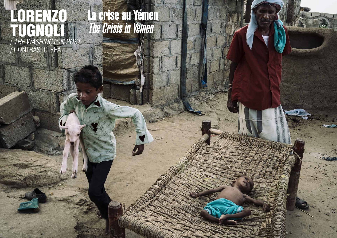#### LORENZO TUGNOLI / *THE WASHINGTON POST* / CONTRASTO-RÉA

La crise au Yémen The Crisis in Yemen

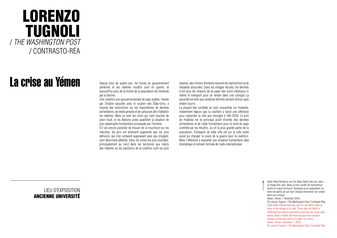### LORENZO TUGNOLI / *THE WASHINGTON POST* / CONTRASTO-RÉA

# La crise au Yémen

LIEU D'EXPOSITION ANCIENNE UNIVERSITÉ Depuis plus de quatre ans, les forces du gouvernement yéménite et les rebelles houthis sont en guerre, et aujourd'hui plus de la moitié de la population est menacée par la famine.

Une coalition pro-gouvernementale de pays arabes, menée par l'Arabie saoudite avec le soutien des États-Unis, a imposé des restrictions sur les importations de denrées alimentaires, de médicaments et de carburant afin d'affaiblir les rebelles. Mais ce sont les civils qui sont touchés de plein fouet, et les Nations unies qualifient la situation de pire catastrophe humanitaire provoquée par l'homme.

S'il est encore possible de trouver de la nourriture sur les marchés, les prix ont tellement augmenté que les plus démunis, qui s'en sortaient auparavant avec peu d'argent, sont désormais affamés. Dans les zones les plus touchées, principalement au nord dans les territoires aux mains des rebelles où les sanctions de la coalition sont les plus

La plupart des combats se sont concentrés sur Hodeida, notamment depuis que la coalition a lancé une offensive pour reprendre la ville aux insurgés à l'été 2018. Le port de Hodeida est le principal point d'entrée des denrées alimentaires et de l'aide humanitaire pour le nord du pays contrôlé par les Houthis, où vit la plus grande partie de la population. S'emparer de cette ville clé sur la côte ouest aurait pu changer le cours de la guerre pour la coalition. Mais l'offensive a exacerbé une situation humanitaire déjà dramatique et entravé l'arrivée de l'aide internationale.

sévères, des milliers d'enfants meurent de malnutrition et de maladies associées. Dans les villages reculés, les familles n'ont plus les moyens de se payer des soins médicaux ni même le transport pour se rendre dans une clinique La pauvreté est telle que certaines familles doivent choisir quel enfant nourrir.

> Saleh Abdo Ahmed et son fils Abdo Saleh chez eux, dans le village d'Al-Jarb. Abdo (3 ans) souffre de malnutrition sévère et risque de mourir. Quelques jours auparavant, sa mère est partie car son mari refusait d'emmener leur enfant dans une clinique. Aslam, Yémen, 7 décembre 2018. © Lorenzo Tugnoli / *The Washington Post* / Contrasto-Réa Saleh Abdo Ahmed standing near his son Abdo Saleh at home in the village of al-Jarb. Three-year-old Abdo is suffering from severe malnutrition and may die. A few days earlier, Abdo's mother left home because her husband refused to allow the child to be taken to a clinic. Aslam, Yemen, December 7, 2018. © Lorenzo Tugnoli / *The Washington Post* / Contrasto-Réa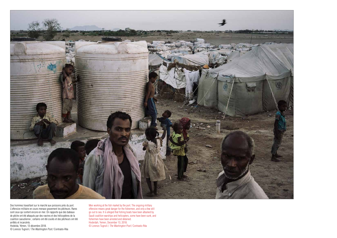

Des hommes travaillant sur le marché aux poissons près du port. L'offensive militaire en cours menace gravement les pêcheurs. Rares sont ceux qui sortent encore en mer. On rapporte que des bateaux de pêche ont été attaqués par des navires et des hélicoptères de la coalition saoudienne ; certains ont été coulés et des pêcheurs ont été arrêtés et incarcérés.

Hodeida, Yémen, 13 décembre 2018. © Lorenzo Tugnoli / *The Washington Post* / Contrasto-Réa

Men working at the fish market by the port. The ongoing military offensive means great danger for the fishermen, and only a few still go out to sea. It is alleged that fishing boats have been attacked by Saudi coalition warships and helicopters, some have been sunk, and fishermen have been arrested and detained. Hodeidah, Yemen, December 13, 2018. © Lorenzo Tugnoli / *The Washington Post* / Contrasto-Réa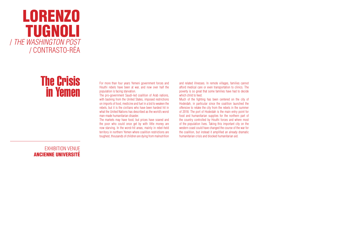#### LORENZO TUGNOLI / *THE WASHINGTON POST* / CONTRASTO-RÉA

## The Crisis in Yemen

#### EXHIBITION VENUE ANCIENNE UNIVERSITÉ

For more than four years Yemeni government forces and Houthi rebels have been at war, and now over half the population is facing starvation.

The pro-government Saudi-led coalition of Arab nations, with backing from the United States, imposed restrictions on imports of food, medicine and fuel in a bid to weaken the rebels, but it is the civilians who have been hardest hit in what the United Nations has described as the world's worst man-made humanitarian disaster.

The markets may have food, but prices have soared and the poor who could once get by with little money are now starving. In the worst-hit areas, mainly in rebel-held territory in northern Yemen where coalition restrictions are toughest, thousands of children are dying from malnutrition and related illnesses. In remote villages, families cannot afford medical care or even transportation to clinics. The poverty is so great that some families have had to decide which child to feed.

Much of the fighting has been centered on the city of Hodeidah, in particular since the coalition launched the offensive to retake the city from the rebels in the summer of 2018. The port of Hodeidah is the main entry point for food and humanitarian supplies for the northern part of the country controlled by Houthi forces and where most of the population lives. Taking this important city on the western coast could have changed the course of the war for the coalition, but instead it amplified an already dramatic humanitarian crisis and blocked humanitarian aid.